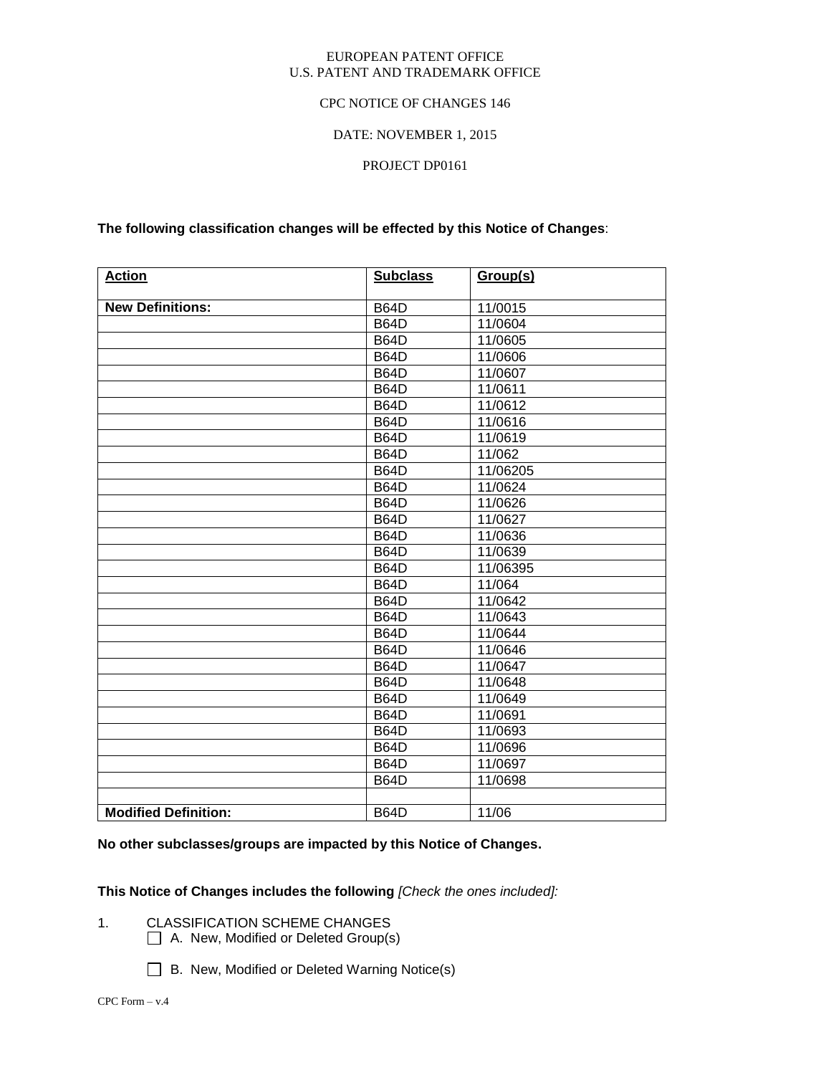#### EUROPEAN PATENT OFFICE U.S. PATENT AND TRADEMARK OFFICE

#### CPC NOTICE OF CHANGES 146

#### DATE: NOVEMBER 1, 2015

#### PROJECT DP0161

#### **The following classification changes will be effected by this Notice of Changes**:

| <b>Action</b>               | <b>Subclass</b> | Group(s) |
|-----------------------------|-----------------|----------|
|                             |                 |          |
| <b>New Definitions:</b>     | <b>B64D</b>     | 11/0015  |
|                             | <b>B64D</b>     | 11/0604  |
|                             | <b>B64D</b>     | 11/0605  |
|                             | <b>B64D</b>     | 11/0606  |
|                             | <b>B64D</b>     | 11/0607  |
|                             | <b>B64D</b>     | 11/0611  |
|                             | <b>B64D</b>     | 11/0612  |
|                             | <b>B64D</b>     | 11/0616  |
|                             | <b>B64D</b>     | 11/0619  |
|                             | <b>B64D</b>     | 11/062   |
|                             | <b>B64D</b>     | 11/06205 |
|                             | <b>B64D</b>     | 11/0624  |
|                             | <b>B64D</b>     | 11/0626  |
|                             | <b>B64D</b>     | 11/0627  |
|                             | <b>B64D</b>     | 11/0636  |
|                             | <b>B64D</b>     | 11/0639  |
|                             | <b>B64D</b>     | 11/06395 |
|                             | <b>B64D</b>     | 11/064   |
|                             | <b>B64D</b>     | 11/0642  |
|                             | <b>B64D</b>     | 11/0643  |
|                             | <b>B64D</b>     | 11/0644  |
|                             | <b>B64D</b>     | 11/0646  |
|                             | <b>B64D</b>     | 11/0647  |
|                             | <b>B64D</b>     | 11/0648  |
|                             | <b>B64D</b>     | 11/0649  |
|                             | <b>B64D</b>     | 11/0691  |
|                             | <b>B64D</b>     | 11/0693  |
|                             | <b>B64D</b>     | 11/0696  |
|                             | <b>B64D</b>     | 11/0697  |
|                             | <b>B64D</b>     | 11/0698  |
|                             |                 |          |
| <b>Modified Definition:</b> | <b>B64D</b>     | 11/06    |

#### **No other subclasses/groups are impacted by this Notice of Changes.**

#### **This Notice of Changes includes the following** *[Check the ones included]:*

- 1. CLASSIFICATION SCHEME CHANGES
	- A. New, Modified or Deleted Group(s)
	- □ B. New, Modified or Deleted Warning Notice(s)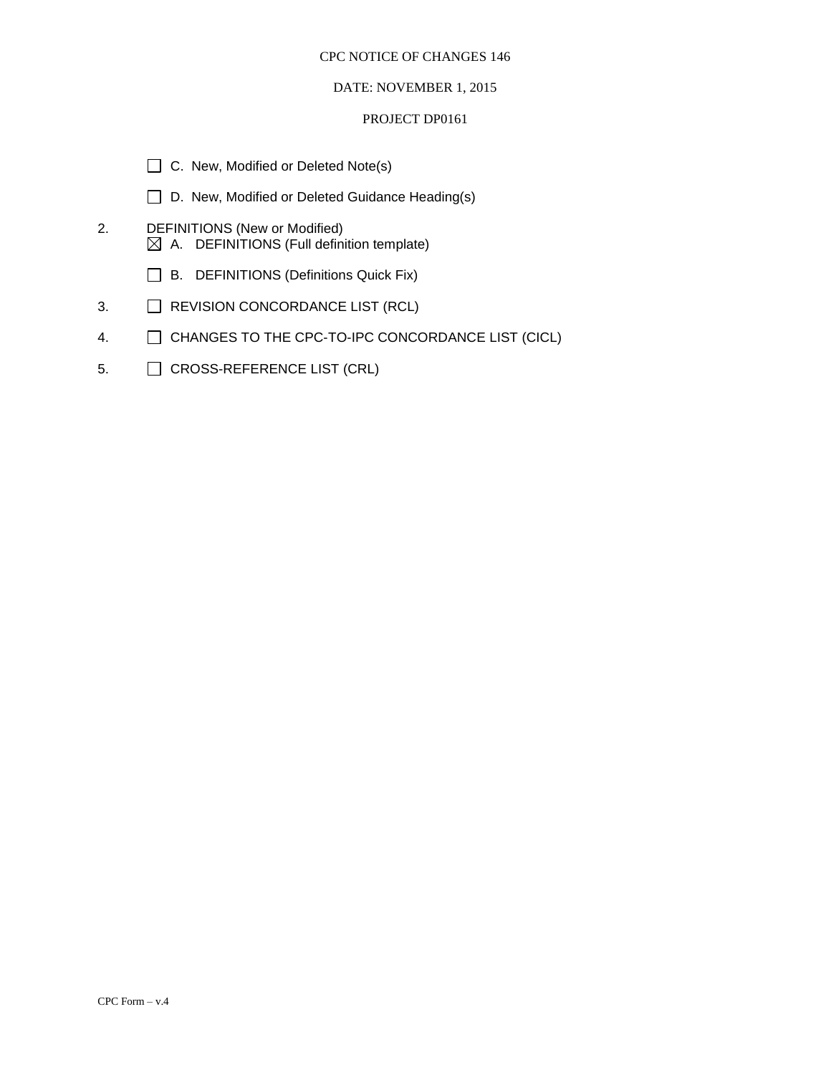#### DATE: NOVEMBER 1, 2015

#### PROJECT DP0161

- □ C. New, Modified or Deleted Note(s)
- □ D. New, Modified or Deleted Guidance Heading(s)
- 2. DEFINITIONS (New or Modified) A. DEFINITIONS (Full definition template)
	- B. DEFINITIONS (Definitions Quick Fix)
- 3. **EXECUTED ALSO REVISION CONCORDANCE LIST (RCL)**
- 4. CHANGES TO THE CPC-TO-IPC CONCORDANCE LIST (CICL)
- 5. CROSS-REFERENCE LIST (CRL)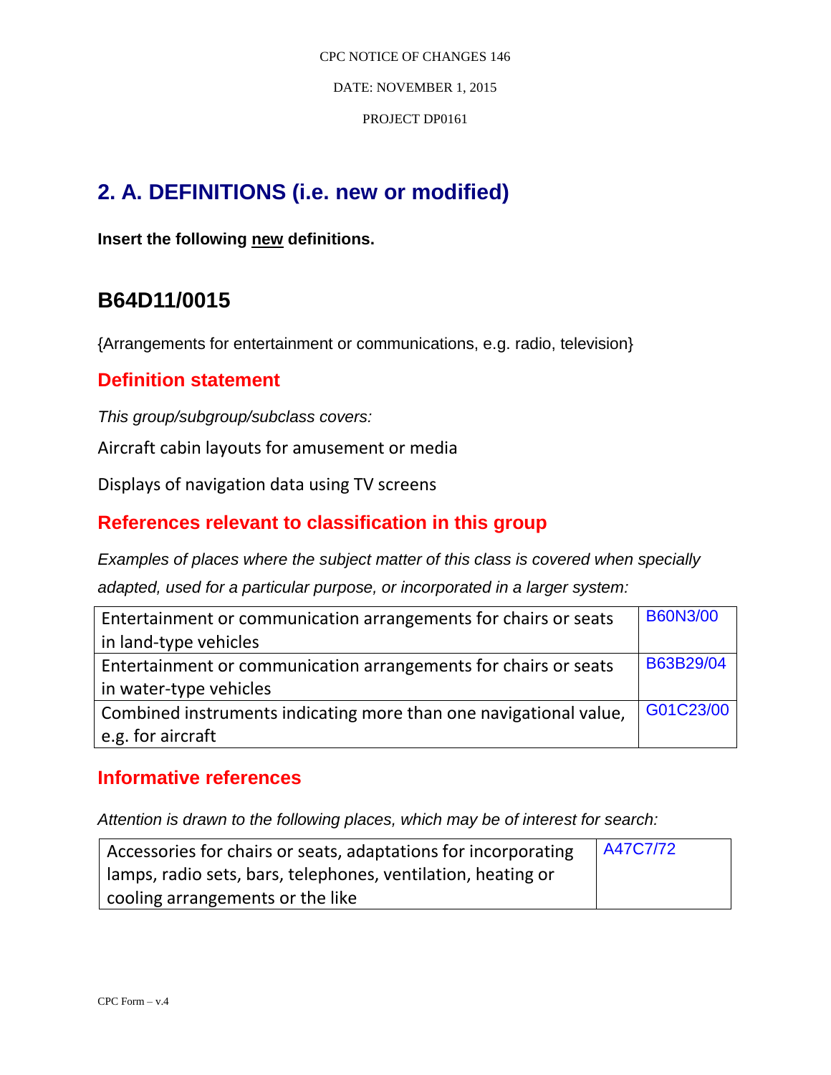CPC NOTICE OF CHANGES 146 DATE: NOVEMBER 1, 2015

PROJECT DP0161

# **2. A. DEFINITIONS (i.e. new or modified)**

**Insert the following new definitions.**

# **B64D11/0015**

{Arrangements for entertainment or communications, e.g. radio, television}

### **Definition statement**

*This group/subgroup/subclass covers:*

Aircraft cabin layouts for amusement or media

Displays of navigation data using TV screens

### **References relevant to classification in this group**

*Examples of places where the subject matter of this class is covered when specially adapted, used for a particular purpose, or incorporated in a larger system:*

| Entertainment or communication arrangements for chairs or seats   | <b>B60N3/00</b> |
|-------------------------------------------------------------------|-----------------|
| in land-type vehicles                                             |                 |
| Entertainment or communication arrangements for chairs or seats   | B63B29/04       |
| in water-type vehicles                                            |                 |
| Combined instruments indicating more than one navigational value, | G01C23/00       |
| e.g. for aircraft                                                 |                 |

### **Informative references**

| Accessories for chairs or seats, adaptations for incorporating | A47C7/72 |
|----------------------------------------------------------------|----------|
| lamps, radio sets, bars, telephones, ventilation, heating or   |          |
| cooling arrangements or the like                               |          |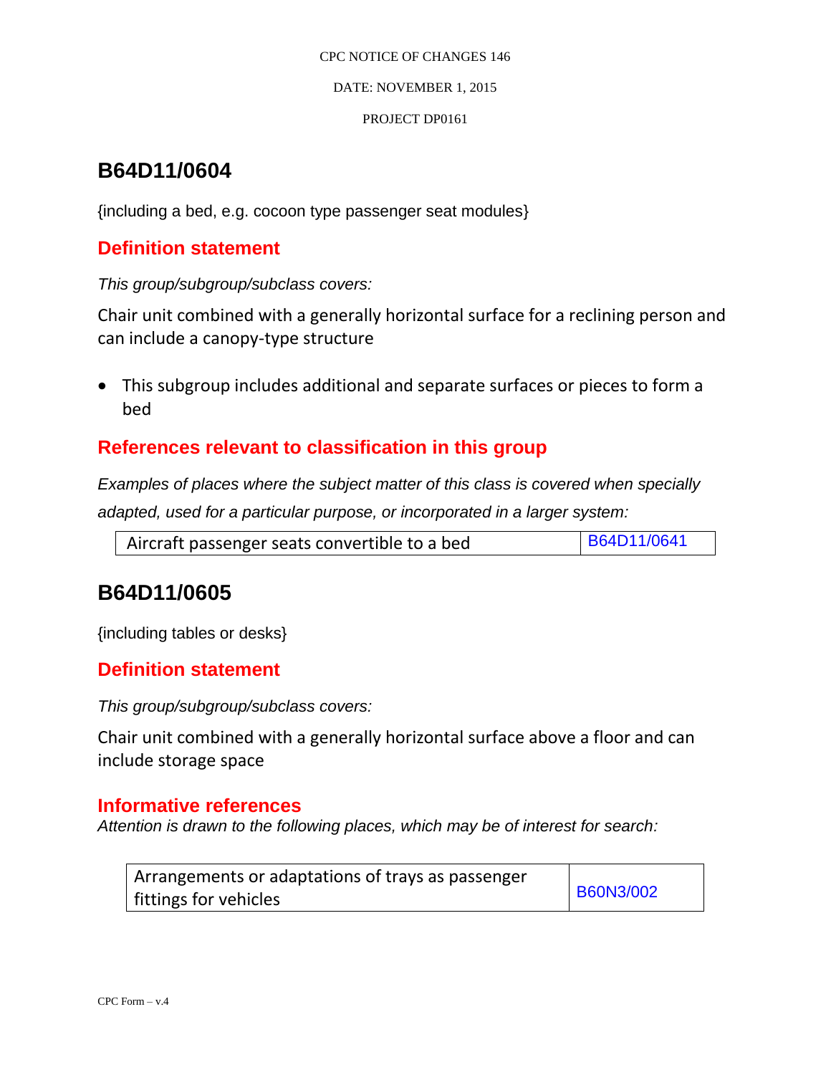DATE: NOVEMBER 1, 2015

PROJECT DP0161

# **B64D11/0604**

{including a bed, e.g. cocoon type passenger seat modules}

### **Definition statement**

*This group/subgroup/subclass covers:*

Chair unit combined with a generally horizontal surface for a reclining person and can include a canopy-type structure

 This subgroup includes additional and separate surfaces or pieces to form a bed

### **References relevant to classification in this group**

*Examples of places where the subject matter of this class is covered when specially adapted, used for a particular purpose, or incorporated in a larger system:*

| Aircraft passenger seats convertible to a bed | B64D11/0641 |
|-----------------------------------------------|-------------|
|-----------------------------------------------|-------------|

# **B64D11/0605**

{including tables or desks}

### **Definition statement**

*This group/subgroup/subclass covers:*

Chair unit combined with a generally horizontal surface above a floor and can include storage space

#### **Informative references**

| Arrangements or adaptations of trays as passenger |                  |
|---------------------------------------------------|------------------|
| fittings for vehicles                             | <b>B60N3/002</b> |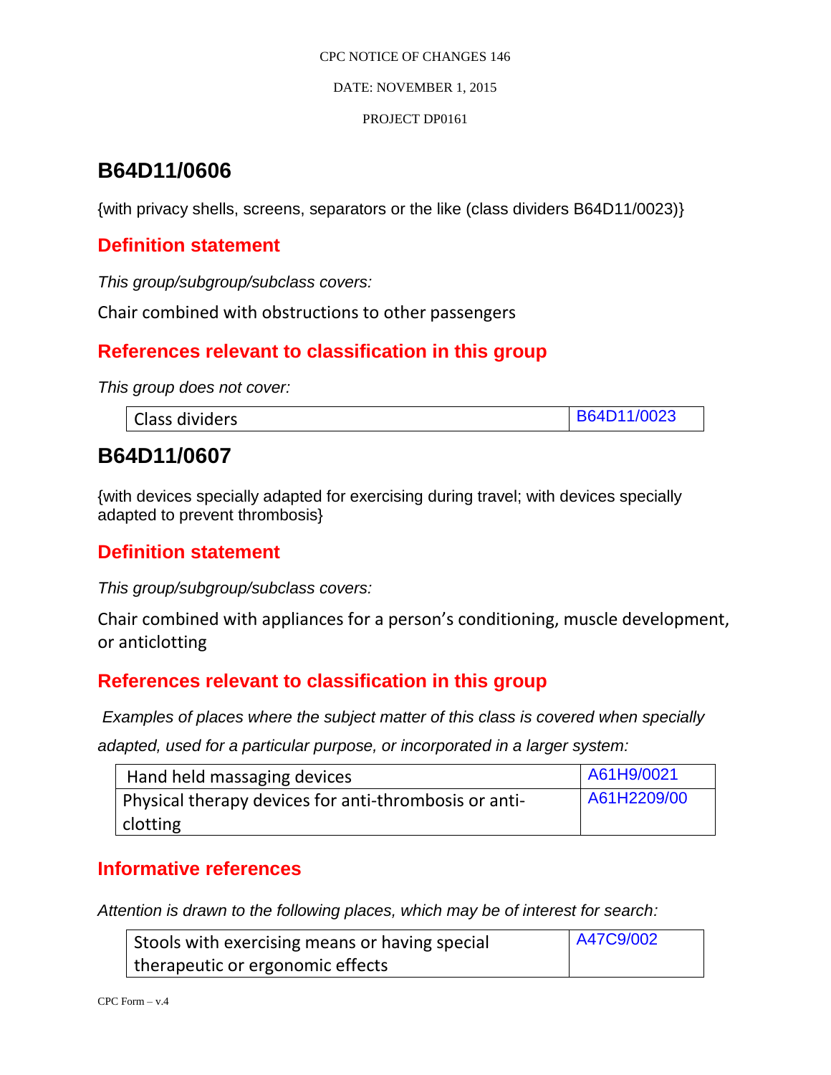DATE: NOVEMBER 1, 2015

#### PROJECT DP0161

# **B64D11/0606**

{with privacy shells, screens, separators or the like (class dividers B64D11/0023)}

## **Definition statement**

*This group/subgroup/subclass covers:*

Chair combined with obstructions to other passengers

### **References relevant to classification in this group**

*This group does not cover:*

# **B64D11/0607**

{with devices specially adapted for exercising during travel; with devices specially adapted to prevent thrombosis}

### **Definition statement**

*This group/subgroup/subclass covers:*

Chair combined with appliances for a person's conditioning, muscle development, or anticlotting

## **References relevant to classification in this group**

*Examples of places where the subject matter of this class is covered when specially* 

*adapted, used for a particular purpose, or incorporated in a larger system:*

| Hand held massaging devices                           | A61H9/0021  |
|-------------------------------------------------------|-------------|
| Physical therapy devices for anti-thrombosis or anti- | A61H2209/00 |
| clotting                                              |             |

### **Informative references**

| Stools with exercising means or having special | A47C9/002 |
|------------------------------------------------|-----------|
| therapeutic or ergonomic effects               |           |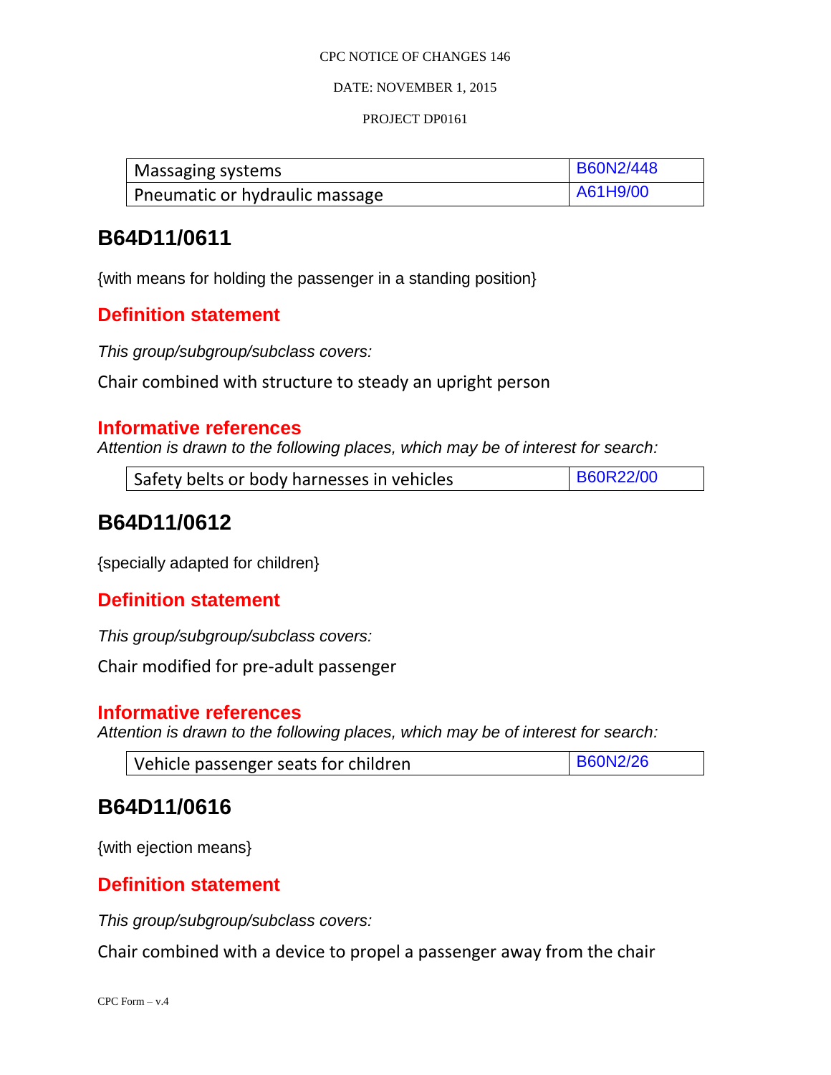#### DATE: NOVEMBER 1, 2015

#### PROJECT DP0161

| Massaging systems              | <b>B60N2/448</b> |
|--------------------------------|------------------|
| Pneumatic or hydraulic massage | A61H9/00         |

## **B64D11/0611**

{with means for holding the passenger in a standing position}

### **Definition statement**

*This group/subgroup/subclass covers:*

Chair combined with structure to steady an upright person

#### **Informative references**

*Attention is drawn to the following places, which may be of interest for search:*

| Safety belts or body harnesses in vehicles | <b>B60R22/00</b> |
|--------------------------------------------|------------------|
|--------------------------------------------|------------------|

# **B64D11/0612**

{specially adapted for children}

### **Definition statement**

*This group/subgroup/subclass covers:*

Chair modified for pre-adult passenger

#### **Informative references**

*Attention is drawn to the following places, which may be of interest for search:*

| Vehicle passenger seats for children | <b>B60N2/26</b> |
|--------------------------------------|-----------------|
|--------------------------------------|-----------------|

## **B64D11/0616**

{with ejection means}

### **Definition statement**

*This group/subgroup/subclass covers:*

Chair combined with a device to propel a passenger away from the chair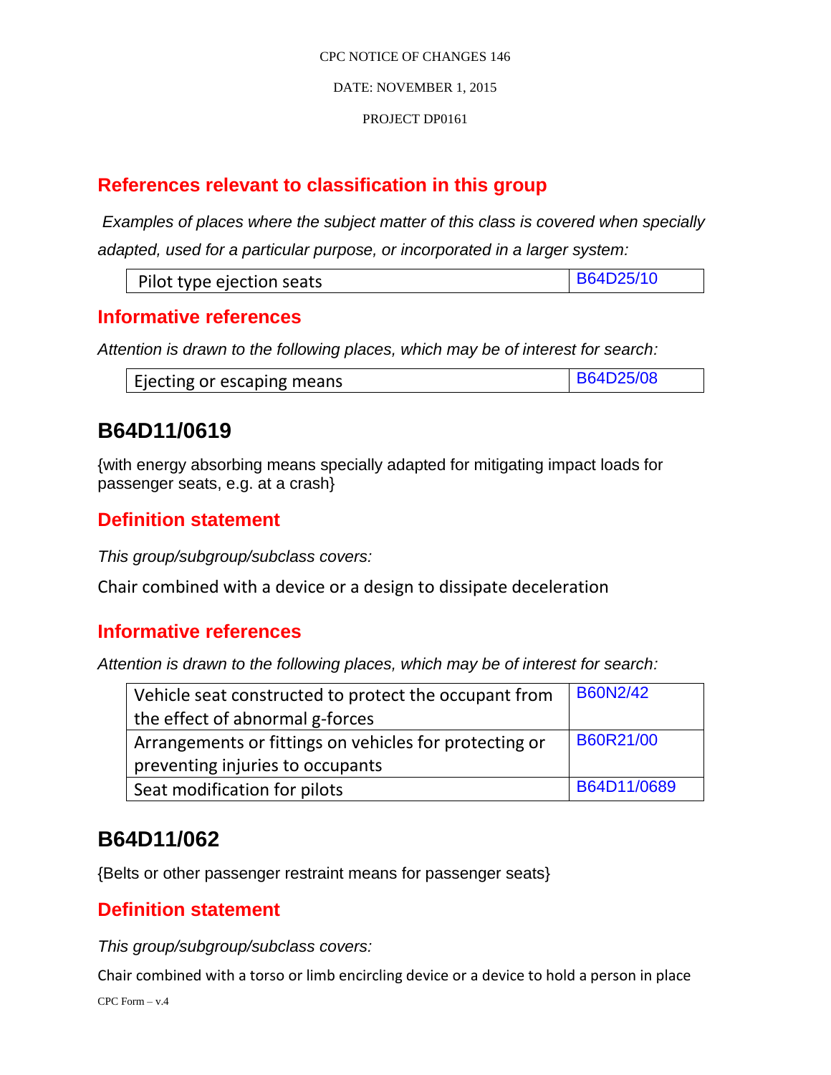#### PROJECT DP0161

# **References relevant to classification in this group**

*Examples of places where the subject matter of this class is covered when specially adapted, used for a particular purpose, or incorporated in a larger system:*

### **Informative references**

*Attention is drawn to the following places, which may be of interest for search:*

| Ejecting or escaping means | <b>ID25/08</b> |
|----------------------------|----------------|
|----------------------------|----------------|

# **B64D11/0619**

{with energy absorbing means specially adapted for mitigating impact loads for passenger seats, e.g. at a crash}

## **Definition statement**

*This group/subgroup/subclass covers:*

Chair combined with a device or a design to dissipate deceleration

### **Informative references**

*Attention is drawn to the following places, which may be of interest for search:*

| Vehicle seat constructed to protect the occupant from  | <b>B60N2/42</b> |
|--------------------------------------------------------|-----------------|
| the effect of abnormal g-forces                        |                 |
| Arrangements or fittings on vehicles for protecting or | B60R21/00       |
| preventing injuries to occupants                       |                 |
| Seat modification for pilots                           | B64D11/0689     |

# **B64D11/062**

{Belts or other passenger restraint means for passenger seats}

### **Definition statement**

*This group/subgroup/subclass covers:*

Chair combined with a torso or limb encircling device or a device to hold a person in place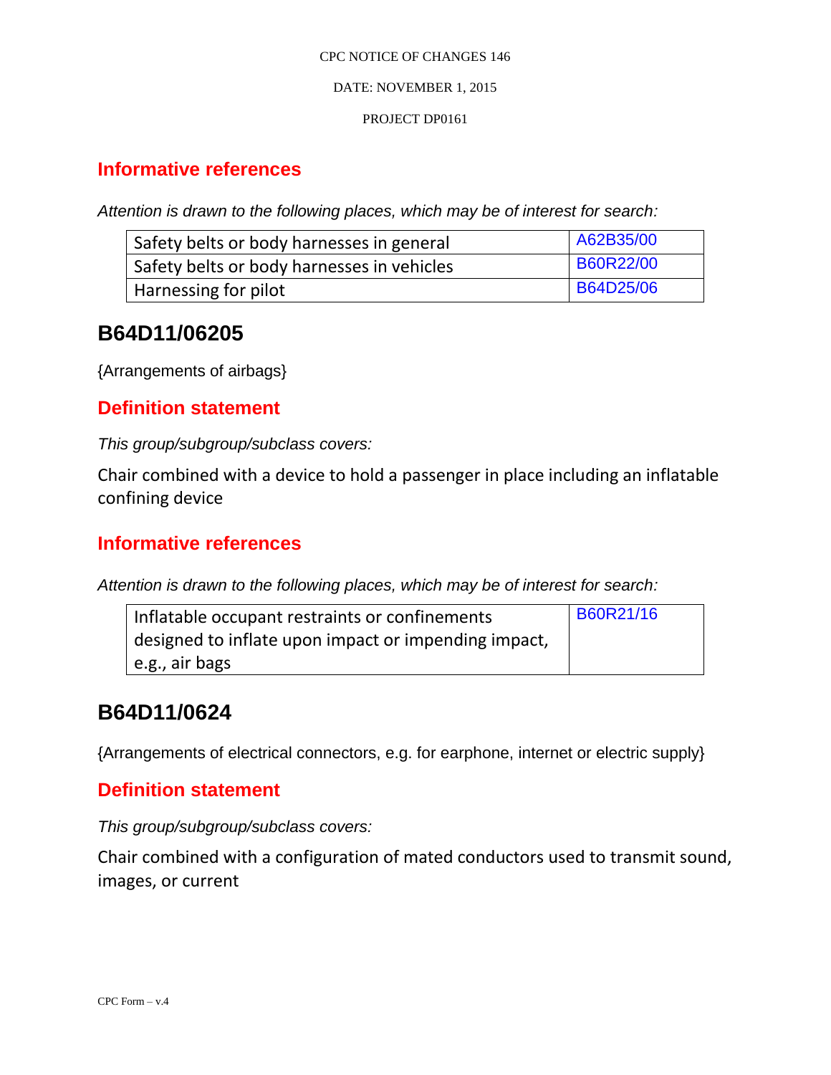#### DATE: NOVEMBER 1, 2015

#### PROJECT DP0161

### **Informative references**

*Attention is drawn to the following places, which may be of interest for search:*

| Safety belts or body harnesses in general  | A62B35/00        |
|--------------------------------------------|------------------|
| Safety belts or body harnesses in vehicles | <b>B60R22/00</b> |
| Harnessing for pilot                       | <b>B64D25/06</b> |

# **B64D11/06205**

{Arrangements of airbags}

### **Definition statement**

*This group/subgroup/subclass covers:*

Chair combined with a device to hold a passenger in place including an inflatable confining device

### **Informative references**

*Attention is drawn to the following places, which may be of interest for search:*

| Inflatable occupant restraints or confinements       | B60R21/16 |
|------------------------------------------------------|-----------|
| designed to inflate upon impact or impending impact, |           |
| l e.g., air bags                                     |           |

# **B64D11/0624**

{Arrangements of electrical connectors, e.g. for earphone, internet or electric supply}

### **Definition statement**

*This group/subgroup/subclass covers:*

Chair combined with a configuration of mated conductors used to transmit sound, images, or current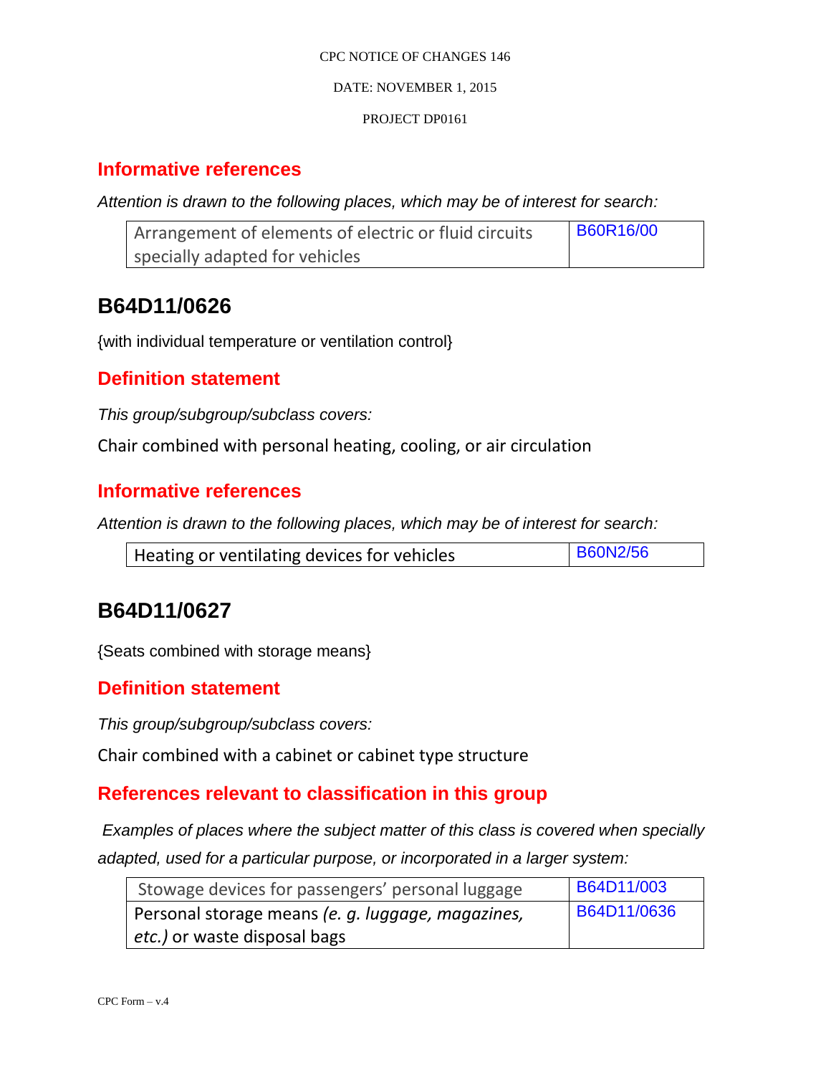#### DATE: NOVEMBER 1, 2015

#### PROJECT DP0161

### **Informative references**

*Attention is drawn to the following places, which may be of interest for search:*

| Arrangement of elements of electric or fluid circuits | <b>B60R16/00</b> |
|-------------------------------------------------------|------------------|
| specially adapted for vehicles                        |                  |

# **B64D11/0626**

{with individual temperature or ventilation control}

#### **Definition statement**

*This group/subgroup/subclass covers:*

Chair combined with personal heating, cooling, or air circulation

### **Informative references**

*Attention is drawn to the following places, which may be of interest for search:*

|--|

# **B64D11/0627**

{Seats combined with storage means}

#### **Definition statement**

*This group/subgroup/subclass covers:*

Chair combined with a cabinet or cabinet type structure

### **References relevant to classification in this group**

*Examples of places where the subject matter of this class is covered when specially adapted, used for a particular purpose, or incorporated in a larger system:*

| Stowage devices for passengers' personal luggage  | <b>B64D11/003</b>  |
|---------------------------------------------------|--------------------|
| Personal storage means (e. g. luggage, magazines, | <b>B64D11/0636</b> |
| <i>etc.)</i> or waste disposal bags               |                    |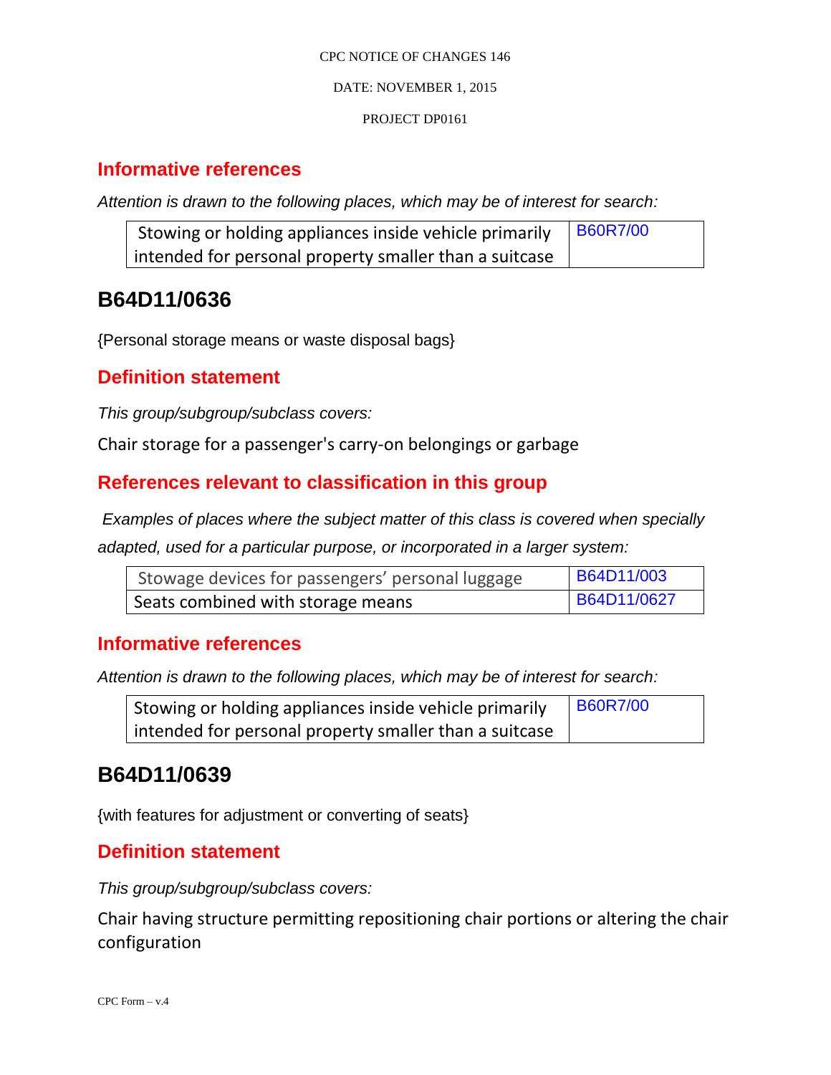#### DATE: NOVEMBER 1, 2015

#### PROJECT DP0161

### **Informative references**

*Attention is drawn to the following places, which may be of interest for search:*

| Stowing or holding appliances inside vehicle primarily | <b>B60R7/00</b> |
|--------------------------------------------------------|-----------------|
| intended for personal property smaller than a suitcase |                 |

# **B64D11/0636**

{Personal storage means or waste disposal bags}

### **Definition statement**

*This group/subgroup/subclass covers:*

Chair storage for a passenger's carry-on belongings or garbage

### **References relevant to classification in this group**

*Examples of places where the subject matter of this class is covered when specially* 

*adapted, used for a particular purpose, or incorporated in a larger system:*

| Stowage devices for passengers' personal luggage | <b>B64D11/003</b> |
|--------------------------------------------------|-------------------|
| Seats combined with storage means                | B64D11/0627       |

#### **Informative references**

*Attention is drawn to the following places, which may be of interest for search:*

| Stowing or holding appliances inside vehicle primarily | <b>B60R7/00</b> |
|--------------------------------------------------------|-----------------|
| intended for personal property smaller than a suitcase |                 |

## **B64D11/0639**

{with features for adjustment or converting of seats}

### **Definition statement**

*This group/subgroup/subclass covers:*

Chair having structure permitting repositioning chair portions or altering the chair configuration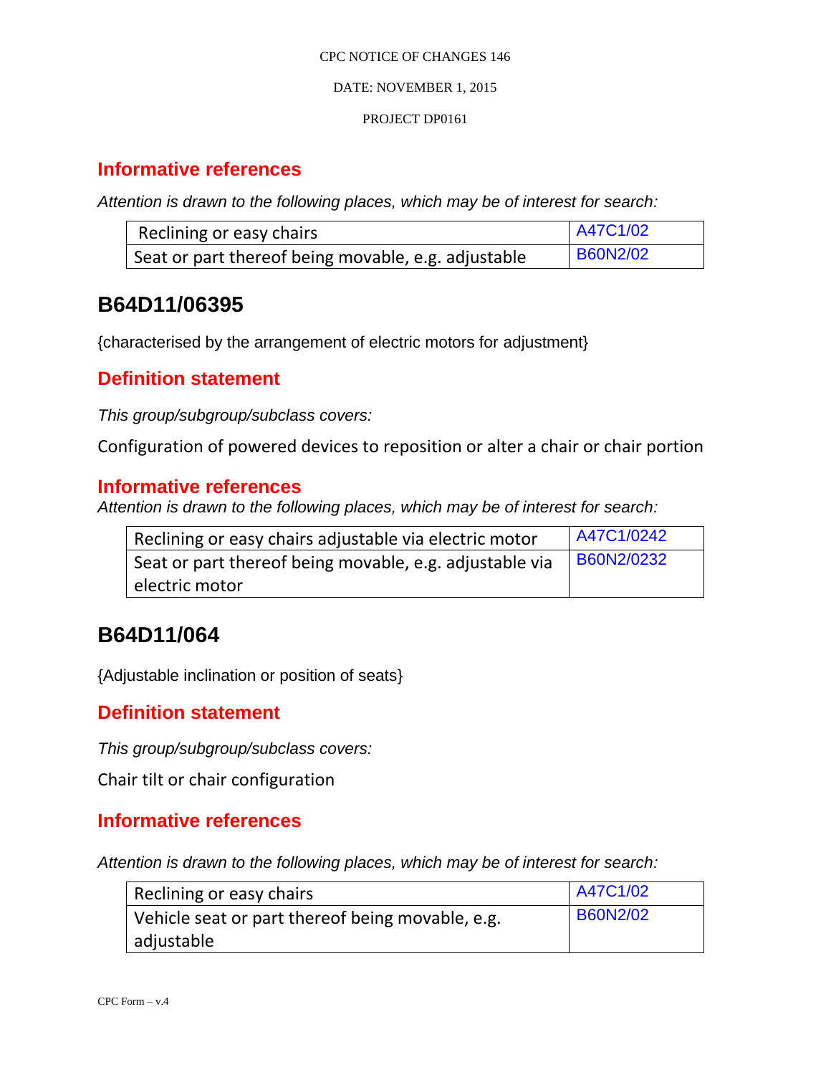#### DATE: NOVEMBER 1, 2015

#### PROJECT DP0161

### **Informative references**

*Attention is drawn to the following places, which may be of interest for search:*

| Reclining or easy chairs                            | A47C1/02        |
|-----------------------------------------------------|-----------------|
| Seat or part thereof being movable, e.g. adjustable | <b>B60N2/02</b> |

# **B64D11/06395**

{characterised by the arrangement of electric motors for adjustment}

### **Definition statement**

*This group/subgroup/subclass covers:*

Configuration of powered devices to reposition or alter a chair or chair portion

#### **Informative references**

*Attention is drawn to the following places, which may be of interest for search:*

| Reclining or easy chairs adjustable via electric motor  | A47C1/0242 |
|---------------------------------------------------------|------------|
| Seat or part thereof being movable, e.g. adjustable via | B60N2/0232 |
| electric motor                                          |            |

# **B64D11/064**

{Adjustable inclination or position of seats}

### **Definition statement**

*This group/subgroup/subclass covers:*

Chair tilt or chair configuration

#### **Informative references**

| Reclining or easy chairs                         | A47C1/02        |
|--------------------------------------------------|-----------------|
| Vehicle seat or part thereof being movable, e.g. | <b>B60N2/02</b> |
| adjustable                                       |                 |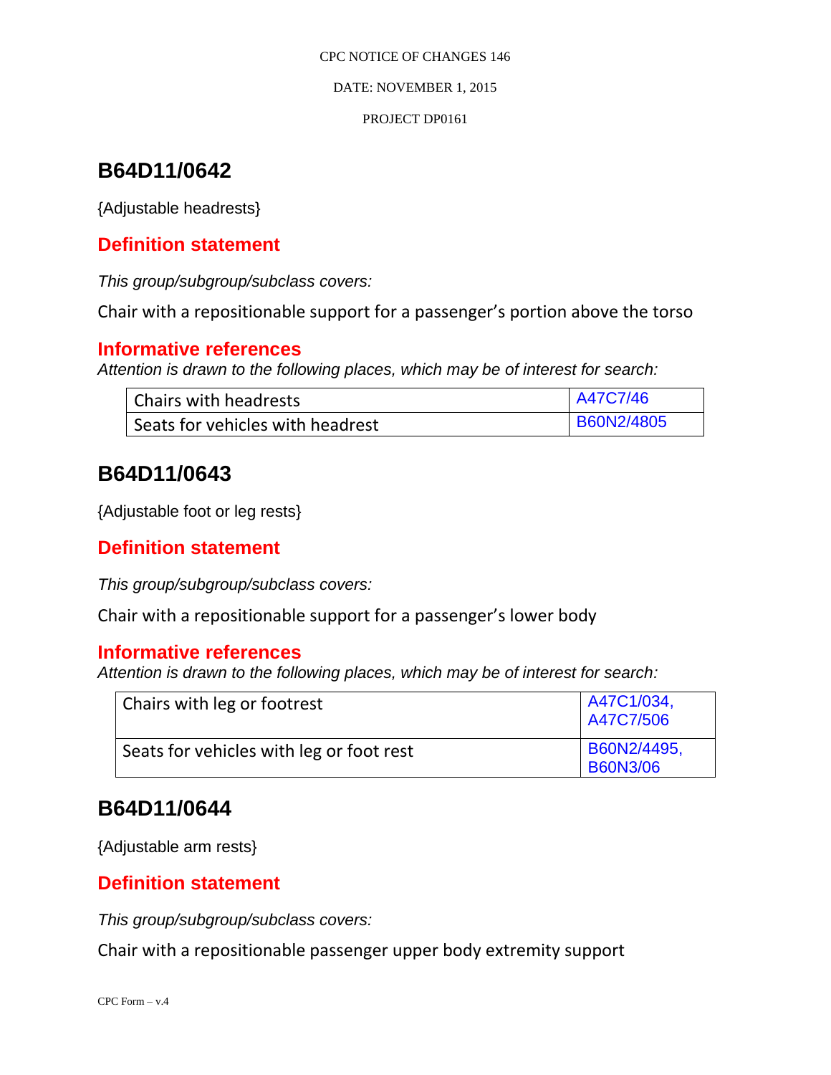DATE: NOVEMBER 1, 2015

#### PROJECT DP0161

# **B64D11/0642**

{Adjustable headrests}

### **Definition statement**

*This group/subgroup/subclass covers:*

Chair with a repositionable support for a passenger's portion above the torso

#### **Informative references**

*Attention is drawn to the following places, which may be of interest for search:*

| Chairs with headrests            | A47C7/46   |
|----------------------------------|------------|
| Seats for vehicles with headrest | B60N2/4805 |

# **B64D11/0643**

{Adjustable foot or leg rests}

### **Definition statement**

*This group/subgroup/subclass covers:*

Chair with a repositionable support for a passenger's lower body

#### **Informative references**

*Attention is drawn to the following places, which may be of interest for search:*

| Chairs with leg or footrest              | A47C1/034,<br>A47C7/506        |
|------------------------------------------|--------------------------------|
| Seats for vehicles with leg or foot rest | B60N2/4495,<br><b>B60N3/06</b> |

## **B64D11/0644**

{Adjustable arm rests}

### **Definition statement**

*This group/subgroup/subclass covers:*

Chair with a repositionable passenger upper body extremity support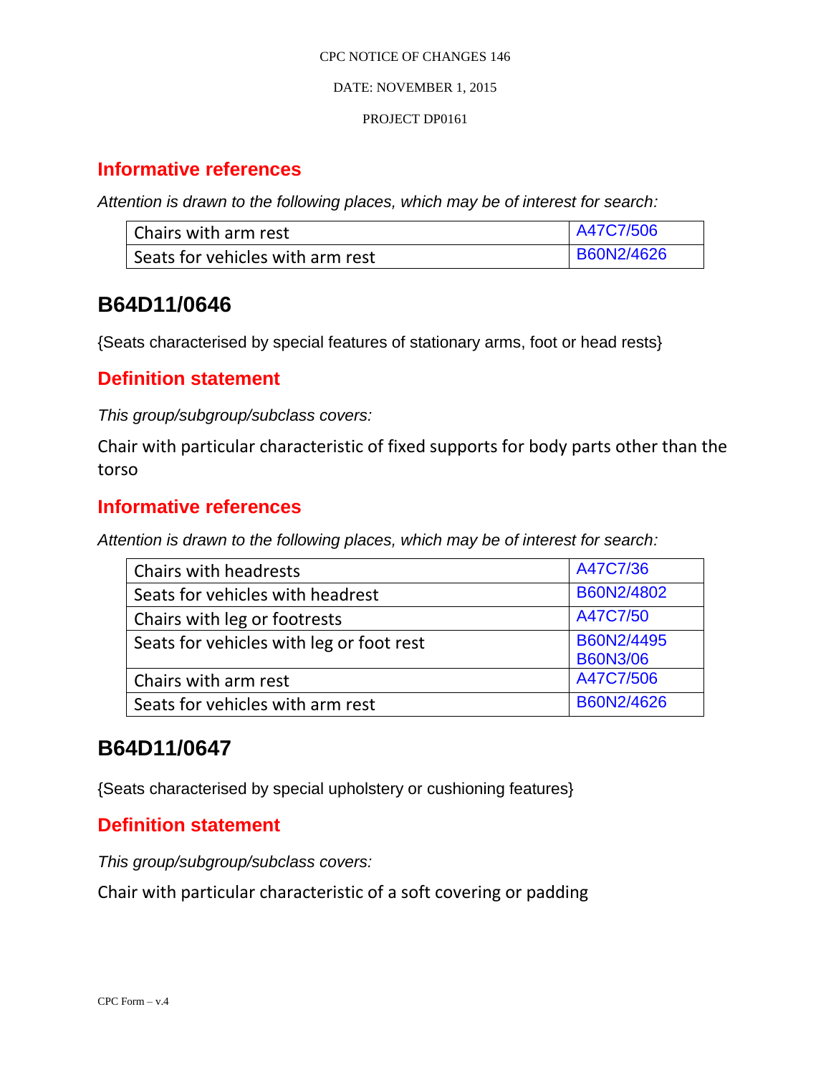#### DATE: NOVEMBER 1, 2015

#### PROJECT DP0161

### **Informative references**

*Attention is drawn to the following places, which may be of interest for search:*

| l Chairs with arm rest           | A47C7/506         |
|----------------------------------|-------------------|
| Seats for vehicles with arm rest | <b>B60N2/4626</b> |

# **B64D11/0646**

{Seats characterised by special features of stationary arms, foot or head rests}

### **Definition statement**

*This group/subgroup/subclass covers:*

Chair with particular characteristic of fixed supports for body parts other than the torso

### **Informative references**

*Attention is drawn to the following places, which may be of interest for search:*

| Chairs with headrests                    | A47C7/36                      |
|------------------------------------------|-------------------------------|
| Seats for vehicles with headrest         | B60N2/4802                    |
| Chairs with leg or footrests             | A47C7/50                      |
| Seats for vehicles with leg or foot rest | B60N2/4495<br><b>B60N3/06</b> |
| Chairs with arm rest                     | A47C7/506                     |
| Seats for vehicles with arm rest         | B60N2/4626                    |

# **B64D11/0647**

{Seats characterised by special upholstery or cushioning features}

### **Definition statement**

*This group/subgroup/subclass covers:*

Chair with particular characteristic of a soft covering or padding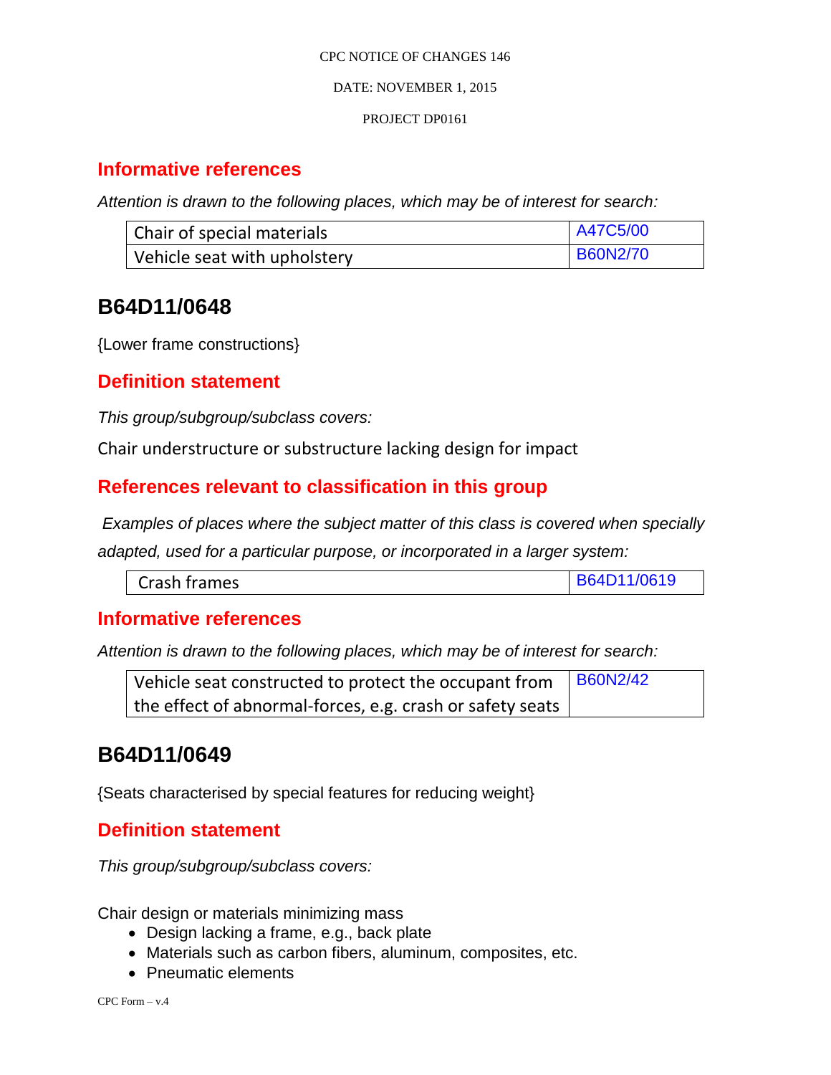#### DATE: NOVEMBER 1, 2015

#### PROJECT DP0161

### **Informative references**

*Attention is drawn to the following places, which may be of interest for search:*

| Chair of special materials   | <b>A47C5/00</b> |
|------------------------------|-----------------|
| Vehicle seat with upholstery | <b>B60N2/70</b> |

# **B64D11/0648**

{Lower frame constructions}

### **Definition statement**

*This group/subgroup/subclass covers:*

Chair understructure or substructure lacking design for impact

### **References relevant to classification in this group**

*Examples of places where the subject matter of this class is covered when specially* 

*adapted, used for a particular purpose, or incorporated in a larger system:*

| Crash frames | B64D11/0619 |
|--------------|-------------|
|--------------|-------------|

### **Informative references**

*Attention is drawn to the following places, which may be of interest for search:*

| Vehicle seat constructed to protect the occupant from $\frac{1660N2}{42}$ |  |
|---------------------------------------------------------------------------|--|
| the effect of abnormal-forces, e.g. crash or safety seats                 |  |

# **B64D11/0649**

{Seats characterised by special features for reducing weight}

### **Definition statement**

*This group/subgroup/subclass covers:*

Chair design or materials minimizing mass

- Design lacking a frame, e.g., back plate
- Materials such as carbon fibers, aluminum, composites, etc.
- Pneumatic elements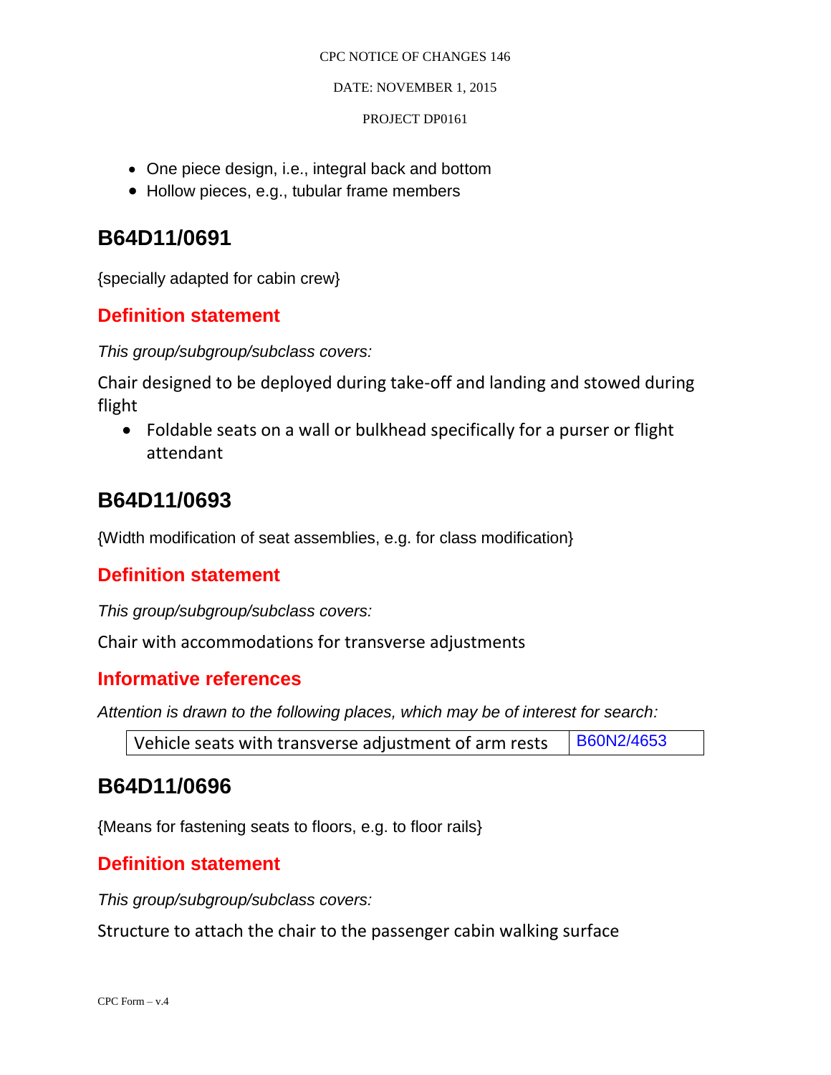#### DATE: NOVEMBER 1, 2015

#### PROJECT DP0161

- One piece design, i.e., integral back and bottom
- Hollow pieces, e.g., tubular frame members

# **B64D11/0691**

{specially adapted for cabin crew}

### **Definition statement**

*This group/subgroup/subclass covers:*

Chair designed to be deployed during take-off and landing and stowed during flight

 Foldable seats on a wall or bulkhead specifically for a purser or flight attendant

# **B64D11/0693**

{Width modification of seat assemblies, e.g. for class modification}

### **Definition statement**

*This group/subgroup/subclass covers:*

Chair with accommodations for transverse adjustments

#### **Informative references**

*Attention is drawn to the following places, which may be of interest for search:*

| Vehicle seats with transverse adjustment of arm rests | B60N2/4653 |
|-------------------------------------------------------|------------|
|-------------------------------------------------------|------------|

## **B64D11/0696**

{Means for fastening seats to floors, e.g. to floor rails}

### **Definition statement**

*This group/subgroup/subclass covers:*

Structure to attach the chair to the passenger cabin walking surface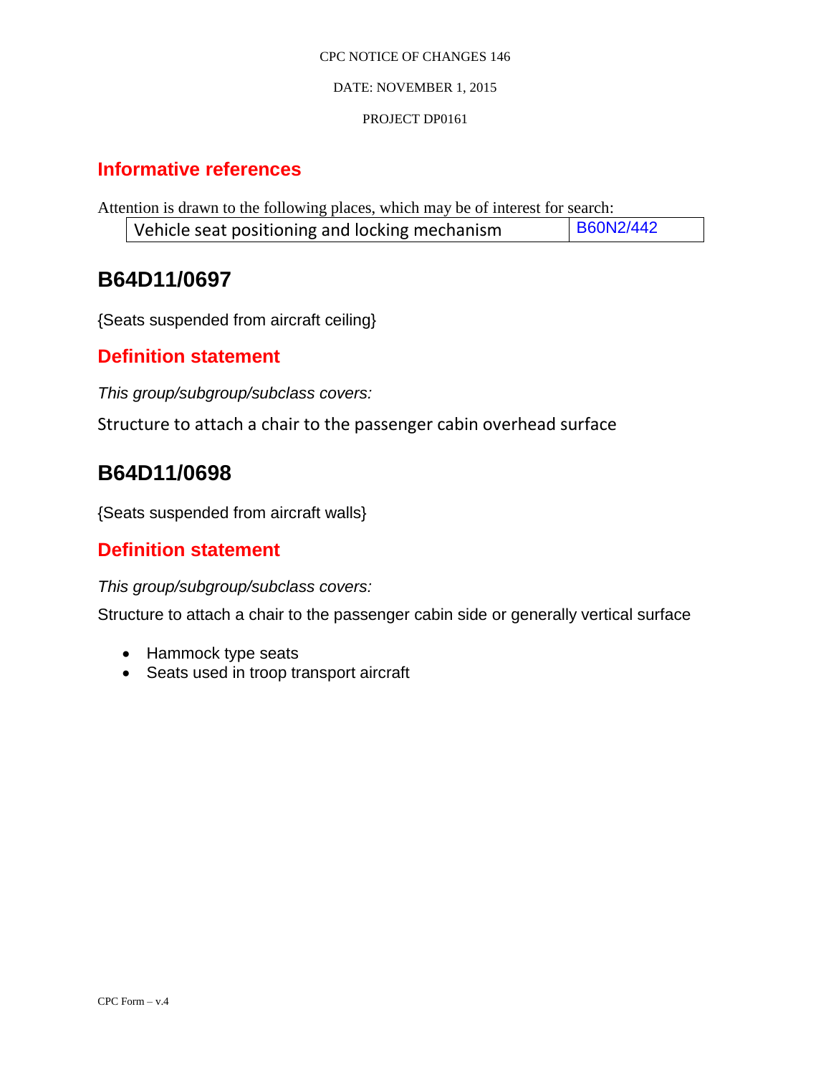#### DATE: NOVEMBER 1, 2015

#### PROJECT DP0161

### **Informative references**

Attention is drawn to the following places, which may be of interest for search: Vehicle seat positioning and locking mechanism  $\Big|$  B60N2/442

# **B64D11/0697**

{Seats suspended from aircraft ceiling}

### **Definition statement**

*This group/subgroup/subclass covers:*

Structure to attach a chair to the passenger cabin overhead surface

# **B64D11/0698**

{Seats suspended from aircraft walls}

### **Definition statement**

#### *This group/subgroup/subclass covers:*

Structure to attach a chair to the passenger cabin side or generally vertical surface

- Hammock type seats
- Seats used in troop transport aircraft